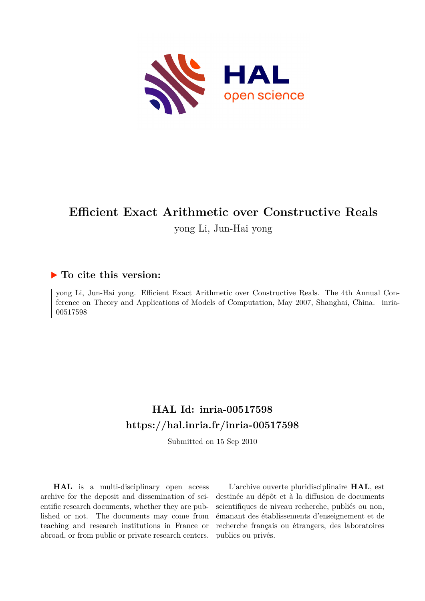

# **Efficient Exact Arithmetic over Constructive Reals**

yong Li, Jun-Hai yong

# **To cite this version:**

yong Li, Jun-Hai yong. Efficient Exact Arithmetic over Constructive Reals. The 4th Annual Conference on Theory and Applications of Models of Computation, May 2007, Shanghai, China. inria-00517598ff

# **HAL Id: inria-00517598 <https://hal.inria.fr/inria-00517598>**

Submitted on 15 Sep 2010

**HAL** is a multi-disciplinary open access archive for the deposit and dissemination of scientific research documents, whether they are published or not. The documents may come from teaching and research institutions in France or abroad, or from public or private research centers.

L'archive ouverte pluridisciplinaire **HAL**, est destinée au dépôt et à la diffusion de documents scientifiques de niveau recherche, publiés ou non, émanant des établissements d'enseignement et de recherche français ou étrangers, des laboratoires publics ou privés.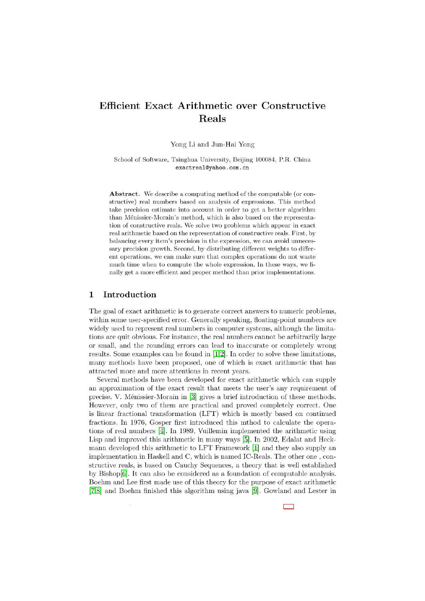# **Efficient Exact Arithmetic over Constructive** Reals

Yong Li and Jun-Hai Yong

School of Software, Tsinghua University, Beijing 100084, P.R. China exactreal@yahoo.com.cn

Abstract. We describe a computing method of the computable (or constructive) real numbers based on analysis of expressions. This method take precision estimate into account in order to get a better algorithm than Ménissier-Morain's method, which is also based on the representation of constructive reals. We solve two problems which appear in exact real arithmetic based on the representation of constructive reals. First, by balancing every item's precision in the expression, we can avoid unnecessary precision growth. Second, by distributing different weights to different operations, we can make sure that complex operations do not waste much time when to compute the whole expression. In these ways, we finally get a more efficient and proper method than prior implementations.

#### $\mathbf{1}$ Introduction

The goal of exact arithmetic is to generate correct answers to numeric problems, within some user-specified error. Generally speaking, floating-point numbers are widely used to represent real numbers in computer systems, although the limitations are quit obvious. For instance, the real numbers cannot be arbitrarily large or small, and the rounding errors can lead to inaccurate or completely wrong results. Some examples can be found in  $[1,2]$ . In order to solve these limitations, many methods have been proposed, one of which is exact arithmetic that has attracted more and more attentions in recent years.

Several methods have been developed for exact arithmetic which can supply an approximation of the exact result that meets the user's any requirement of precise. V. Ménissier-Morain in [3] gives a brief introduction of these methods. However, only two of them are practical and proved completely correct. One is linear fractional transformation (LFT) which is mostly based on continued fractions. In 1976, Gosper first introduced this mthod to calculate the operations of real numbers [4]. In 1989, Vuillemin implemented the arithmetic using Lisp and improved this arithmetic in many ways [5]. In 2002, Edalat and Heckmann developed this arithmetic to LFT Framework [1] and they also supply an implementation in Haskell and C, which is named IC-Reals. The other one, constructive reals, is based on Cauchy Sequences, a theory that is well established by Bishop[6]. It can also be considered as a foundation of computable analysis. Boehm and Lee first made use of this theory for the purpose of exact arithmetic  $[7,8]$  and Boehm finished this algorithm using java [9]. Gowland and Lester in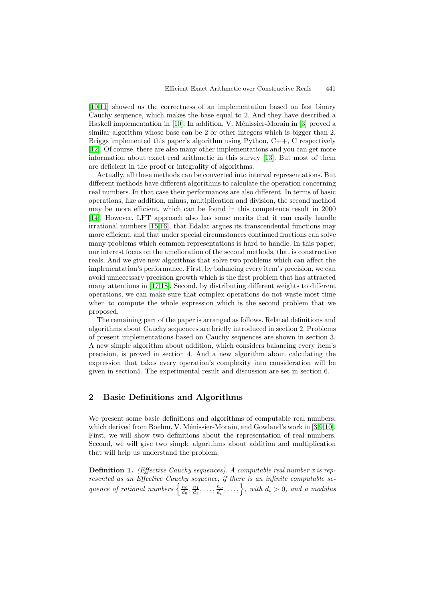[10,11] showed us the correctness of an implementation based on fast binary Cauchy sequence, which makes the base equal to 2. And they have described a Haskell implementation in  $[10]$ . In addition, V. Ménissier-Morain in  $[3]$  proved a similar algorithm whose base can be 2 or other integers which is bigger than 2. Briggs implemented this paper's algorithm using Python, C++, C respectively [12]. Of course, there are also many other implementations and you can get more information about exact real arithmetic in this survey [13]. But most of them are deficient in the proof or integrality of algorithms.

Actually, all these methods can be converted into interval representations. But different methods have different algorithms to calculate the operation concerning real numbers. In that case their performances are also different. In terms of basic operations, like addition, minus, multiplication and division, the second method may be more efficient, which can be found in this competence result in 2000 [14]. However, LFT approach also has some merits that it can easily handle irrational numbers [15,16], that Edalat argues its transcendental functions may more efficient, and that under special circumstances continued fractions can solve many problems which common representations is hard to handle. In this paper, our interest focus on the amelioration of the second methods, that is constructive reals. And we give new algorithms that solve two problems which can affect the implementation's performance. First, by balancing every item's precision, we can avoid unnecessary precision growth which is the first problem that has attracted many attentions in [17,18]. Second, by distributing different weights to different operations, we can make sure that complex operations do not waste most time when to compute the whole expression which is the second problem that we proposed.

The remaining part of the paper is arranged as follows. Related definitions and algorithms about Cauchy sequences are briefly introduced in section 2. Problems of present implementations based on Cauchy sequences are shown in section 3. A new simple algorithm about addition, which considers balancing every item's precision, is proved in section 4. And a new algorithm about calculating the expression that takes every operation's complexity into consideration will be given in section5. The experimental result and discussion are set in section 6.

# **2 Basic Definitions and Algorithms**

We present some basic definitions and algorithms of computable real numbers, which derived from Boehm, V. Ménissier-Morain, and Gowland's work in [3,9,10]. First, we will show two definitions about the representation of real numbers. Second, we will give two simple algorithms about addition and multiplication that will help us understand the problem.

**Definition 1.** (Effective Cauchy sequences). A computable real number x is represented as an Effective Cauchy sequence, if there is an infinite computable sequence of rational numbers  $\left\{\frac{n_0}{d_0}, \frac{n_1}{d_1}, \ldots, \frac{n_p}{d_p}, \ldots\right\}$ , with  $d_i > 0$ , and a modulus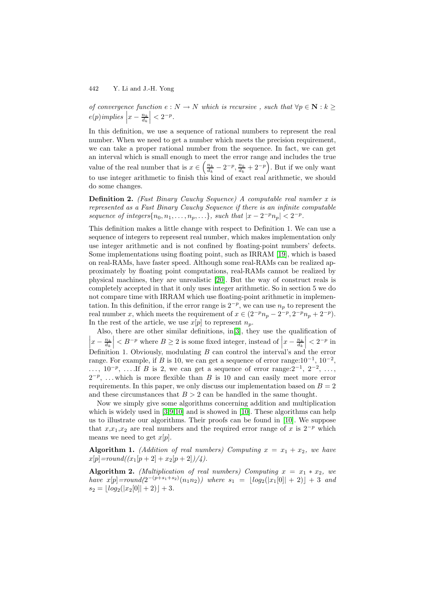of convergence function  $e : N \to N$  which is recursive, such that  $\forall p \in \mathbb{N} : k \geq 1$  $e(p)$ *implies*  $x - \frac{n_k}{d_k}$  $< 2^{-p}$ .

In this definition, we use a sequence of rational numbers to represent the real number. When we need to get a number which meets the precision requirement, we can take a proper rational number from the sequence. In fact, we can get an interval which is small enough to meet the error range and includes the true value of the real number that is  $x \in \left(\frac{n_k}{d_k} - 2^{-p}, \frac{n_k}{d_k} + 2^{-p}\right)$ . But if we only want to use integer arithmetic to finish this kind of exact real arithmetic, we should do some changes.

**Definition 2.** (Fast Binary Cauchy Sequence) A computable real number x is represented as a Fast Binary Cauchy Sequence if there is an infinite computable sequence of integers $\{n_0, n_1, \ldots, n_p, \ldots\}$ , such that  $|x - 2^{-p}n_p| < 2^{-p}$ .

This definition makes a little change with respect to Definition 1. We can use a sequence of integers to represent real number, which makes implementation only use integer arithmetic and is not confined by floating-point numbers' defects. Some implementations using floating point, such as IRRAM [19], which is based on real-RAMs, have faster speed. Although some real-RAMs can be realized approximately by floating point computations, real-RAMs cannot be realized by physical machines, they are unrealistic [20]. But the way of construct reals is completely accepted in that it only uses integer arithmetic. So in section 5 we do not compare time with IRRAM which use floating-point arithmetic in implementation. In this definition, if the error range is  $2^{-p}$ , we can use  $n_p$  to represent the real number x, which meets the requirement of  $x \in (2^{-p}n_p - 2^{-p}, 2^{-p}n_p + 2^{-p})$ . In the rest of the article, we use  $x[p]$  to represent  $n_p$ .

Also, there are other similar definitions, in[3], they use the qualification of  $\left| x - \frac{n_k}{d_k} \right| < B^{-p}$  where  $B \ge 2$  is some fixed integer, instead of  $\left| x - \frac{n_k}{d_k} \right| < 2^{-p}$  in Definition 1. Obviously modulating  $B$  are control the integrals and the error Definition 1. Obviously, modulating B can control the interval's and the error range. For example, if B is 10, we can get a sequence of error range: $10^{-1}$ ,  $10^{-2}$ , ...,  $10^{-p}$ , ....If B is 2, we can get a sequence of error range: $2^{-1}$ ,  $2^{-2}$ , ...,  $2^{-p}$ , ... which is more flexible than B is 10 and can easily meet more error requirements. In this paper, we only discuss our implementation based on  $B = 2$ and these circumstances that  $B > 2$  can be handled in the same thought.

Now we simply give some algorithms concerning addition and multiplication which is widely used in [3,9,10] and is showed in [10]. These algorithms can help us to illustrate our algorithms. Their proofs can be found in [10]. We suppose that  $x, x_1, x_2$  are real numbers and the required error range of x is  $2^{-p}$  which means we need to get  $x[p]$ .

**Algorithm 1.** (Addition of real numbers) Computing  $x = x_1 + x_2$ , we have  $x[p] = round((x_1[p + 2] + x_2[p + 2])/4).$ 

**Algorithm 2.** (Multiplication of real numbers) Computing  $x = x_1 * x_2$ , we have  $x[p] = round(2^{-(p+s_1+s_2)}(n_1n_2))$  where  $s_1 = |log_2(|x_1[0]| + 2)| + 3$  and  $s_2 = |log_2(|x_2[0]| + 2)| + 3.$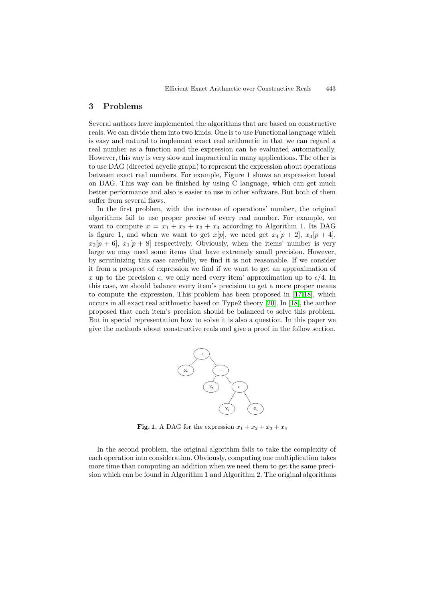## **3 Problems**

Several authors have implemented the algorithms that are based on constructive reals. We can divide them into two kinds. One is to use Functional language which is easy and natural to implement exact real arithmetic in that we can regard a real number as a function and the expression can be evaluated automatically. However, this way is very slow and impractical in many applications. The other is to use DAG (directed acyclic graph) to represent the expression about operations between exact real numbers. For example, Figure 1 shows an expression based on DAG. This way can be finished by using C language, which can get much better performance and also is easier to use in other software. But both of them suffer from several flaws.

In the first problem, with the increase of operations' number, the original algorithms fail to use proper precise of every real number. For example, we want to compute  $x = x_1 + x_2 + x_3 + x_4$  according to Algorithm 1. Its DAG is figure 1, and when we want to get  $x[p]$ , we need get  $x_4[p + 2]$ ,  $x_3[p + 4]$ ,  $x_2[p+6], x_1[p+8]$  respectively. Obviously, when the items' number is very large we may need some items that have extremely small precision. However, by scrutinizing this case carefully, we find it is not reasonable. If we consider it from a prospect of expression we find if we want to get an approximation of x up to the precision  $\epsilon$ , we only need every item' approximation up to  $\epsilon/4$ . In this case, we should balance every item's precision to get a more proper means to compute the expression. This problem has been proposed in [17,18], which occurs in all exact real arithmetic based on Type2 theory [20]. In [18], the author proposed that each item's precision should be balanced to solve this problem. But in special representation how to solve it is also a question. In this paper we give the methods about constructive reals and give a proof in the follow section.



**Fig. 1.** A DAG for the expression  $x_1 + x_2 + x_3 + x_4$ 

In the second problem, the original algorithm fails to take the complexity of each operation into consideration. Obviously, computing one multiplication takes more time than computing an addition when we need them to get the same precision which can be found in Algorithm 1 and Algorithm 2. The original algorithms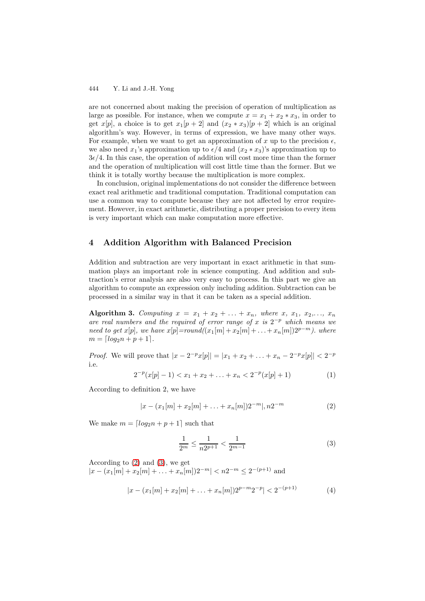are not concerned about making the precision of operation of multiplication as large as possible. For instance, when we compute  $x = x_1 + x_2 * x_3$ , in order to get  $x[p]$ , a choice is to get  $x_1[p+2]$  and  $(x_2 * x_3)[p+2]$  which is an original algorithm's way. However, in terms of expression, we have many other ways. For example, when we want to get an approximation of x up to the precision  $\epsilon$ , we also need  $x_1$ 's approximation up to  $\epsilon/4$  and  $(x_2 * x_3)$ 's approximation up to  $3\epsilon/4$ . In this case, the operation of addition will cost more time than the former and the operation of multiplication will cost little time than the former. But we think it is totally worthy because the multiplication is more complex.

In conclusion, original implementations do not consider the difference between exact real arithmetic and traditional computation. Traditional computation can use a common way to compute because they are not affected by error requirement. However, in exact arithmetic, distributing a proper precision to every item is very important which can make computation more effective.

### **4 Addition Algorithm with Balanced Precision**

Addition and subtraction are very important in exact arithmetic in that summation plays an important role in science computing. And addition and subtraction's error analysis are also very easy to process. In this part we give an algorithm to compute an expression only including addition. Subtraction can be processed in a similar way in that it can be taken as a special addition.

**Algorithm 3.** Computing  $x = x_1 + x_2 + ... + x_n$ , where  $x, x_1, x_2, ..., x_n$ are real numbers and the required of error range of x is  $2^{-p}$  which means we need to get x[p], we have  $x[p] = round((x_1[m]+ x_2[m]+ \ldots + x_n[m])2^{p-m})$ . where  $m = \lfloor log_2 n + p + 1 \rfloor.$ 

*Proof.* We will prove that  $|x - 2^{-p}x[p]| = |x_1 + x_2 + ... + x_n - 2^{-p}x[p]| < 2^{-p}$ i.e.

$$
2^{-p}(x[p]-1) < x_1 + x_2 + \ldots + x_n < 2^{-p}(x[p]+1) \tag{1}
$$

According to definition 2, we have

$$
|x - (x_1[m] + x_2[m] + \ldots + x_n[m])2^{-m}|, n2^{-m}
$$
 (2)

We make  $m = \lfloor log_2 n + p + 1 \rfloor$  such that

$$
\frac{1}{2^m} \le \frac{1}{n2^{p+1}} < \frac{1}{2^{m-1}}\tag{3}
$$

According to (2) and (3), we get  $|x - (x_1|m| + x_2|m| + \ldots + x_n|m|)2^{-m}| < n2^{-m} \leq 2^{-(p+1)}$  and

$$
|x - (x_1[m] + x_2[m] + \ldots + x_n[m])2^{p-m}2^{-p}| < 2^{-(p+1)} \tag{4}
$$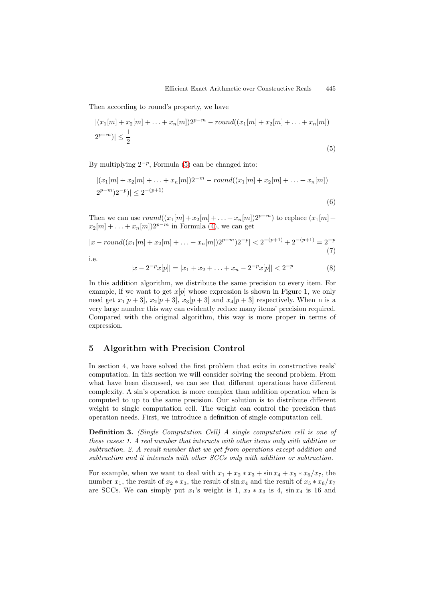(6)

Then according to round's property, we have

$$
|(x_1[m]+x_2[m]+\ldots+x_n[m])2^{p-m}-round((x_1[m]+x_2[m]+\ldots+x_n[m])
$$
  

$$
2^{p-m})|\leq \frac{1}{2}
$$
 (5)

By multiplying  $2^{-p}$ , Formula (5) can be changed into:

$$
|(x_1[m]+x_2[m]+\ldots+x_n[m])2^{-m}-round((x_1[m]+x_2[m]+\ldots+x_n[m])
$$
  
 $2^{p-m})2^{-p})|\leq 2^{-(p+1)}$ 

Then we can use  $round((x_1[m]+x_2[m]+...+x_n[m])2^{p-m})$  to replace  $(x_1[m]+x_2[m]+...+x_n[m])2^{p-m}$  $x_2[m] + \ldots + x_n[m])2^{p-m}$  in Formula (4), we can get

$$
|x - round((x_1[m] + x_2[m] + ... + x_n[m])2^{p-m})2^{-p}| < 2^{-(p+1)} + 2^{-(p+1)} = 2^{-p}
$$
\n(7)

i.e.

$$
|x - 2^{-p}x[p]| = |x_1 + x_2 + \dots + x_n - 2^{-p}x[p]| < 2^{-p} \tag{8}
$$

In this addition algorithm, we distribute the same precision to every item. For example, if we want to get  $x[p]$  whose expression is shown in Figure 1, we only need get  $x_1[p+3], x_2[p+3], x_3[p+3]$  and  $x_4[p+3]$  respectively. When n is a very large number this way can evidently reduce many items' precision required. Compared with the original algorithm, this way is more proper in terms of expression.

# **5 Algorithm with Precision Control**

In section 4, we have solved the first problem that exits in constructive reals' computation. In this section we will consider solving the second problem. From what have been discussed, we can see that different operations have different complexity. A sin's operation is more complex than addition operation when is computed to up to the same precision. Our solution is to distribute different weight to single computation cell. The weight can control the precision that operation needs. First, we introduce a definition of single computation cell.

**Definition 3.** (Single Computation Cell) A single computation cell is one of these cases: 1. A real number that interacts with other items only with addition or subtraction. 2. A result number that we get from operations except addition and subtraction and it interacts with other SCCs only with addition or subtraction.

For example, when we want to deal with  $x_1 + x_2 * x_3 + \sin x_4 + x_5 * x_6/x_7$ , the number  $x_1$ , the result of  $x_2 * x_3$ , the result of sin  $x_4$  and the result of  $x_5 * x_6/x_7$ are SCCs. We can simply put  $x_1$ 's weight is 1,  $x_2 * x_3$  is 4, sin  $x_4$  is 16 and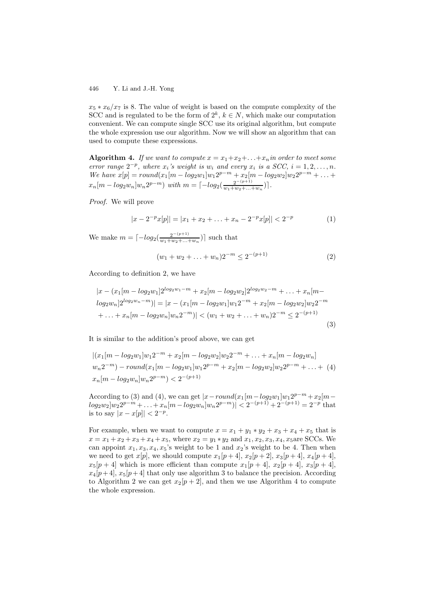$x_5 * x_6/x_7$  is 8. The value of weight is based on the compute complexity of the SCC and is regulated to be the form of  $2^k$ ,  $k \in N$ , which make our computation convenient. We can compute single SCC use its original algorithm, but compute the whole expression use our algorithm. Now we will show an algorithm that can used to compute these expressions.

**Algorithm 4.** If we want to compute  $x = x_1 + x_2 + \ldots + x_n$  in order to meet some error range  $2^{-p}$ , where  $x_i$ 's weight is  $w_i$  and every  $x_i$  is a SCC,  $i = 1, 2, \ldots, n$ . We have  $x[p] = round(x_1[m - log_2w_1]w_12^{p-m} + x_2[m - log_2w_2]w_22^{p-m} + ... +$  $x_n[m - log_2 w_n]w_n 2^{p-m}$  with  $m = \lceil -log_2(\frac{2^{-(p+1)}}{w_1 + w_2 + \ldots + w_n}) \rceil$ .

Proof. We will prove

$$
|x - 2^{-p}x[p]| = |x_1 + x_2 + \dots + x_n - 2^{-p}x[p]| < 2^{-p} \tag{1}
$$

We make  $m = \lceil -log_2(\frac{2^{-(p+1)}}{w_1 + w_2 + \dots + w_n}) \rceil$  such that

$$
(w_1 + w_2 + \ldots + w_n)2^{-m} \le 2^{-(p+1)} \tag{2}
$$

According to definition 2, we have

$$
|x - (x_1[m - log_2 w_1]2^{log_2 w_1 - m} + x_2[m - log_2 w_2]2^{log_2 w_2 - m} + \dots + x_n[m - log_2 w_n]2^{log_2 w_n - m})| = |x - (x_1[m - log_2 w_1]w_12^{-m} + x_2[m - log_2 w_2]w_22^{-m} + \dots + x_n[m - log_2 w_n]w_n2^{-m})| < (w_1 + w_2 + \dots + w_n)2^{-m} \le 2^{-(p+1)}
$$
\n(3)

It is similar to the addition's proof above, we can get

$$
|(x_1[m - log_2 w_1]w_1 2^{-m} + x_2[m - log_2 w_2]w_2 2^{-m} + ... + x_n[m - log_2 w_n]
$$
  

$$
w_n 2^{-m}) - round(x_1[m - log_2 w_1]w_1 2^{p-m} + x_2[m - log_2 w_2]w_2 2^{p-m} + ... + (4)
$$
  

$$
x_n[m - log_2 w_n]w_n 2^{p-m}) < 2^{-(p+1)}
$$

According to (3) and (4), we can get  $|x-round(x_1[m-log_2w_1]w_12^{p-m}+x_2[m$  $log_2 w_2 |w_2 2^{p-m} + \ldots + x_n [m - log_2 w_n] w_n 2^{p-m}$  $| < 2^{-(p+1)} + 2^{-(p+1)} = 2^{-p}$  that is to say  $|x - x[p]| < 2^{-p}$ .

For example, when we want to compute  $x = x_1 + y_1 * y_2 + x_3 + x_4 + x_5$  that is  $x = x_1 + x_2 + x_3 + x_4 + x_5$ , where  $x_2 = y_1 * y_2$  and  $x_1, x_2, x_3, x_4, x_5$  are SCCs. We can appoint  $x_1, x_3, x_4, x_5$ 's weight to be 1 and  $x_2$ 's weight to be 4. Then when we need to get  $x[p]$ , we should compute  $x_1[p + 4]$ ,  $x_2[p + 2]$ ,  $x_3[p + 4]$ ,  $x_4[p + 4]$ ,  $x_5[p+4]$  which is more efficient than compute  $x_1[p+4]$ ,  $x_2[p+4]$ ,  $x_3[p+4]$ ,  $x_4[p+4], x_5[p+4]$  that only use algorithm 3 to balance the precision. According to Algorithm 2 we can get  $x_2[p + 2]$ , and then we use Algorithm 4 to compute the whole expression.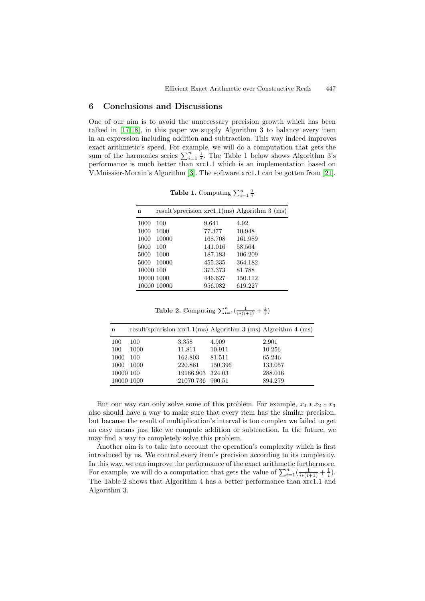### **6 Conclusions and Discussions**

One of our aim is to avoid the unnecessary precision growth which has been talked in [17,18], in this paper we supply Algorithm 3 to balance every item in an expression including addition and subtraction. This way indeed improves exact arithmetic's speed. For example, we will do a computation that gets the sum of the harmonics series  $\sum_{i=1}^{n} \frac{1}{i}$ . The Table 1 below shows Algorithm 3's performance is much better than xrc1.1 which is an implementation based on V.Mnissier-Morain's Algorithm [3]. The software xrc1.1 can be gotten from [21].

| n         |             |         | result'sprecision $xrc1.1(ms)$ Algorithm 3 (ms) |
|-----------|-------------|---------|-------------------------------------------------|
| 1000      | 100         | 9.641   | 4.92                                            |
| 1000      | 1000        | 77.377  | 10.948                                          |
| 1000      | 10000       | 168.708 | 161.989                                         |
| 5000      | 100         | 141.016 | 58.564                                          |
| 5000      | 1000        | 187.183 | 106.209                                         |
| 5000      | 10000       | 455.335 | 364.182                                         |
| 10000 100 |             | 373.373 | 81.788                                          |
|           | 10000 1000  | 446.627 | 150.112                                         |
|           | 10000 10000 | 956.082 | 619.227                                         |

**Table 1.** Computing  $\sum_{i=1}^{n} \frac{1}{i}$ 

**Table 2.** Computing  $\sum_{i=1}^{n}(\frac{1}{i*(i+1)} + \frac{1}{i})$ 

| n         |            |                  |         | result'sprecision $xrc1.1(ms)$ Algorithm 3 (ms) Algorithm 4 (ms) |
|-----------|------------|------------------|---------|------------------------------------------------------------------|
| 100       | 100        | 3.358            | 4.909   | 2.901                                                            |
| 100       | 1000       | 11.811           | 10.911  | 10.256                                                           |
| 1000      | 100        | 162.803          | 81.511  | 65.246                                                           |
| 1000      | 1000       | 220.861          | 150.396 | 133.057                                                          |
| 10000 100 |            | 19166.903 324.03 |         | 288.016                                                          |
|           | 10000 1000 | 21070.736        | 900.51  | 894.279                                                          |

But our way can only solve some of this problem. For example,  $x_1 * x_2 * x_3$ also should have a way to make sure that every item has the similar precision, but because the result of multiplication's interval is too complex we failed to get an easy means just like we compute addition or subtraction. In the future, we may find a way to completely solve this problem.

Another aim is to take into account the operation's complexity which is first introduced by us. We control every item's precision according to its complexity. In this way, we can improve the performance of the exact arithmetic furthermore. For example, we will do a computation that gets the value of  $\sum_{i=1}^{n}(\frac{1}{i*(i+1)} + \frac{1}{i}).$ The Table 2 shows that Algorithm 4 has a better performance than xrc1.1 and Algorithm 3.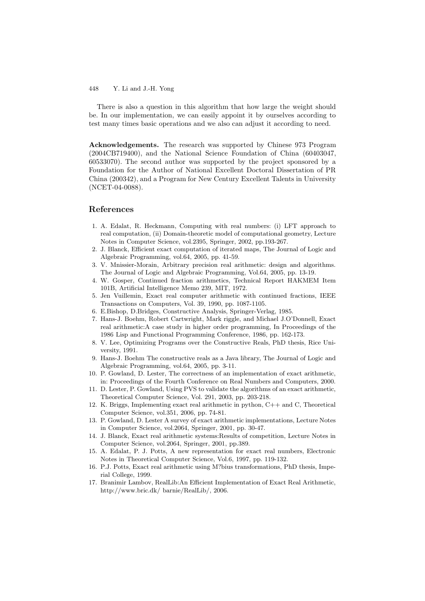There is also a question in this algorithm that how large the weight should be. In our implementation, we can easily appoint it by ourselves according to test many times basic operations and we also can adjust it according to need.

**Acknowledgements.** The research was supported by Chinese 973 Program (2004CB719400), and the National Science Foundation of China (60403047, 60533070). The second author was supported by the project sponsored by a Foundation for the Author of National Excellent Doctoral Dissertation of PR China (200342), and a Program for New Century Excellent Talents in University (NCET-04-0088).

### **References**

- 1. A. Edalat, R. Heckmann, Computing with real numbers: (i) LFT approach to real computation, (ii) Domain-theoretic model of computational geometry, Lecture Notes in Computer Science, vol.2395, Springer, 2002, pp.193-267.
- 2. J. Blanck, Efficient exact computation of iterated maps, The Journal of Logic and Algebraic Programming, vol.64, 2005, pp. 41-59.
- 3. V. Mnissier-Morain, Arbitrary precision real arithmetic: design and algorithms. The Journal of Logic and Algebraic Programming, Vol.64, 2005, pp. 13-19.
- 4. W. Gosper, Continued fraction arithmetics, Technical Report HAKMEM Item 101B, Artificial Intelligence Memo 239, MIT, 1972.
- 5. Jen Vuillemin, Exact real computer arithmetic with continued fractions, IEEE Transactions on Computers, Vol. 39, 1990, pp. 1087-1105.
- 6. E.Bishop, D.Bridges, Constructive Analysis, Springer-Verlag, 1985.
- 7. Hans-J. Boehm, Robert Cartwright, Mark riggle, and Michael J.O'Donnell, Exact real arithmetic:A case study in higher order programming, In Proceedings of the 1986 Lisp and Functional Programming Conference, 1986, pp. 162-173.
- 8. V. Lee, Optimizing Programs over the Constructive Reals, PhD thesis, Rice University, 1991.
- 9. Hans-J. Boehm The constructive reals as a Java library, The Journal of Logic and Algebraic Programming, vol.64, 2005, pp. 3-11.
- 10. P. Gowland, D. Lester, The correctness of an implementation of exact arithmetic, in: Proceedings of the Fourth Conference on Real Numbers and Computers, 2000.
- 11. D. Lester, P. Gowland, Using PVS to validate the algorithms of an exact arithmetic, Theoretical Computer Science, Vol. 291, 2003, pp. 203-218.
- 12. K. Briggs, Implementing exact real arithmetic in python, C++ and C, Theoretical Computer Science, vol.351, 2006, pp. 74-81.
- 13. P. Gowland, D. Lester A survey of exact arithmetic implementations, Lecture Notes in Computer Science, vol.2064, Springer, 2001, pp. 30-47.
- 14. J. Blanck, Exact real arithmetic systems:Results of competition, Lecture Notes in Computer Science, vol.2064, Springer, 2001, pp.389.
- 15. A. Edalat, P. J. Potts, A new representation for exact real numbers, Electronic Notes in Theoretical Computer Science, Vol.6, 1997, pp. 119-132.
- 16. P.J. Potts, Exact real arithmetic using M?bius transformations, PhD thesis, Imperial College, 1999.
- 17. Branimir Lambov, RealLib:An Efficient Implementation of Exact Real Arithmetic, http://www.bric.dk/ barnie/RealLib/, 2006.